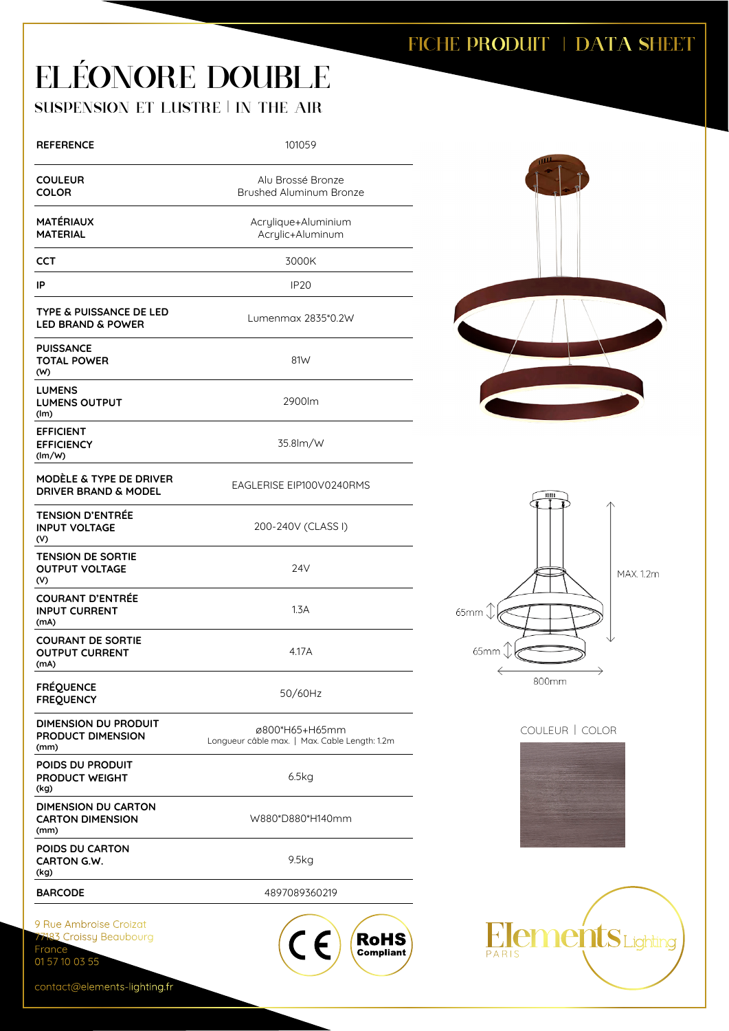## FICHE PRODUIT | DATA SHEET

## ELÉONORE DOUBLE

SUSPENSION ET LUSTRE | IN THE AIR

| <b>REFERENCE</b>                                                         | 101059                                                                                                 |
|--------------------------------------------------------------------------|--------------------------------------------------------------------------------------------------------|
| <b>COULEUR</b><br><b>COLOR</b>                                           | Alu Brossé Bronze<br>Brushed Aluminum Bronze                                                           |
| <b>MATÉRIAUX</b><br><b>MATERIAL</b>                                      | Acrylique+Aluminium<br>Acrylic+Aluminum                                                                |
| CCT                                                                      | 3000K                                                                                                  |
| IP                                                                       | IP <sub>20</sub>                                                                                       |
| TYPE & PUISSANCE DE LED<br><b>LED BRAND &amp; POWER</b>                  | Lumenmax 2835*0.2W                                                                                     |
| <b>PUISSANCE</b><br><b>TOTAL POWER</b><br>(W)                            | 81W                                                                                                    |
| <b>LUMENS</b><br><b>LUMENS OUTPUT</b><br>(lm)                            | 2900lm                                                                                                 |
| <b>EFFICIENT</b><br><b>EFFICIENCY</b><br>(lm/W)                          | 35.8lm/W                                                                                               |
| MODELE & TYPE DE DRIVER<br><b>DRIVER BRAND &amp; MODEL</b>               | EAGLERISE EIP100V0240RMS                                                                               |
| <b>TENSION D'ENTRÉE</b><br><b>INPUT VOLTAGE</b><br>(V)                   | 200-240V (CLASS I)                                                                                     |
| <b>TENSION DE SORTIE</b><br><b>OUTPUT VOLTAGE</b><br>(V)                 | 24V                                                                                                    |
| <b>COURANT D'ENTRÉE</b><br><b>INPUT CURRENT</b><br>(mA)                  | 1.3A                                                                                                   |
| <b>COURANT DE SORTIE</b><br><b>OUTPUT CURRENT</b><br>(mA)                | 4.17A                                                                                                  |
| <b>FRÉQUENCE</b><br><b>FREQUENCY</b>                                     | 50/60Hz                                                                                                |
| DIMENSION DU PRODUIT<br><b>PRODUCT DIMENSION</b><br>(mm)                 | ø800*H65+H65mm<br>Longueur câble max.   Max. Cable Length: 1.2m                                        |
| POIDS DU PRODUIT<br><b>PRODUCT WEIGHT</b><br>(kg)                        | 6.5kg                                                                                                  |
| <b>DIMENSION DU CARTON</b><br><b>CARTON DIMENSION</b><br>(mm)            | W880*D880*H140mm                                                                                       |
| POIDS DU CARTON<br><b>CARTON G.W.</b><br>(kg)                            | 9.5kg                                                                                                  |
| <b>BARCODE</b>                                                           | 4897089360219                                                                                          |
| 9 Rue Ambroise Croizat<br>77183 Croissy Beaubourg<br>France <sup>-</sup> | $(C \in \mathcal{C})$<br>$\left(\begin{array}{c}\n\text{RoHS} \\ \text{Compliant}\n\end{array}\right)$ |









contact@elements-lighting.fr

01 57 10 03 55